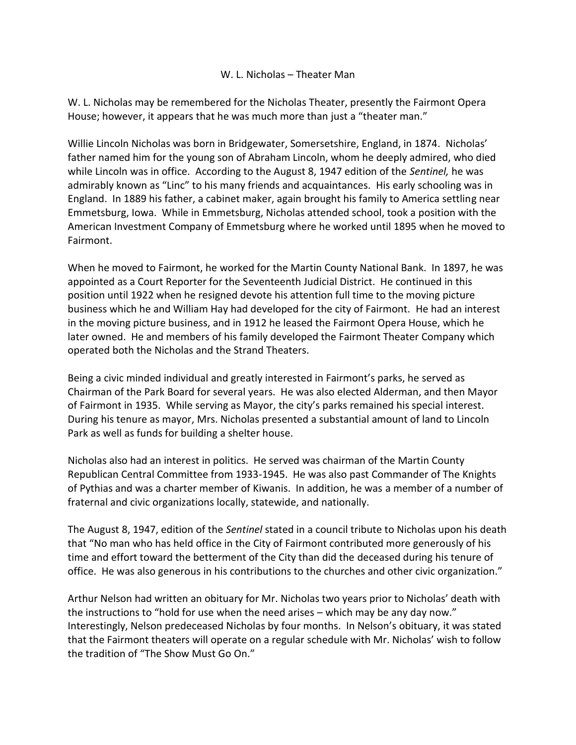## W. L. Nicholas – Theater Man

W. L. Nicholas may be remembered for the Nicholas Theater, presently the Fairmont Opera House; however, it appears that he was much more than just a "theater man."

Willie Lincoln Nicholas was born in Bridgewater, Somersetshire, England, in 1874. Nicholas' father named him for the young son of Abraham Lincoln, whom he deeply admired, who died while Lincoln was in office. According to the August 8, 1947 edition of the *Sentinel,* he was admirably known as "Linc" to his many friends and acquaintances. His early schooling was in England. In 1889 his father, a cabinet maker, again brought his family to America settling near Emmetsburg, Iowa. While in Emmetsburg, Nicholas attended school, took a position with the American Investment Company of Emmetsburg where he worked until 1895 when he moved to Fairmont.

When he moved to Fairmont, he worked for the Martin County National Bank. In 1897, he was appointed as a Court Reporter for the Seventeenth Judicial District. He continued in this position until 1922 when he resigned devote his attention full time to the moving picture business which he and William Hay had developed for the city of Fairmont. He had an interest in the moving picture business, and in 1912 he leased the Fairmont Opera House, which he later owned. He and members of his family developed the Fairmont Theater Company which operated both the Nicholas and the Strand Theaters.

Being a civic minded individual and greatly interested in Fairmont's parks, he served as Chairman of the Park Board for several years. He was also elected Alderman, and then Mayor of Fairmont in 1935. While serving as Mayor, the city's parks remained his special interest. During his tenure as mayor, Mrs. Nicholas presented a substantial amount of land to Lincoln Park as well as funds for building a shelter house.

Nicholas also had an interest in politics. He served was chairman of the Martin County Republican Central Committee from 1933-1945. He was also past Commander of The Knights of Pythias and was a charter member of Kiwanis. In addition, he was a member of a number of fraternal and civic organizations locally, statewide, and nationally.

The August 8, 1947, edition of the *Sentinel* stated in a council tribute to Nicholas upon his death that "No man who has held office in the City of Fairmont contributed more generously of his time and effort toward the betterment of the City than did the deceased during his tenure of office. He was also generous in his contributions to the churches and other civic organization."

Arthur Nelson had written an obituary for Mr. Nicholas two years prior to Nicholas' death with the instructions to "hold for use when the need arises – which may be any day now." Interestingly, Nelson predeceased Nicholas by four months. In Nelson's obituary, it was stated that the Fairmont theaters will operate on a regular schedule with Mr. Nicholas' wish to follow the tradition of "The Show Must Go On."